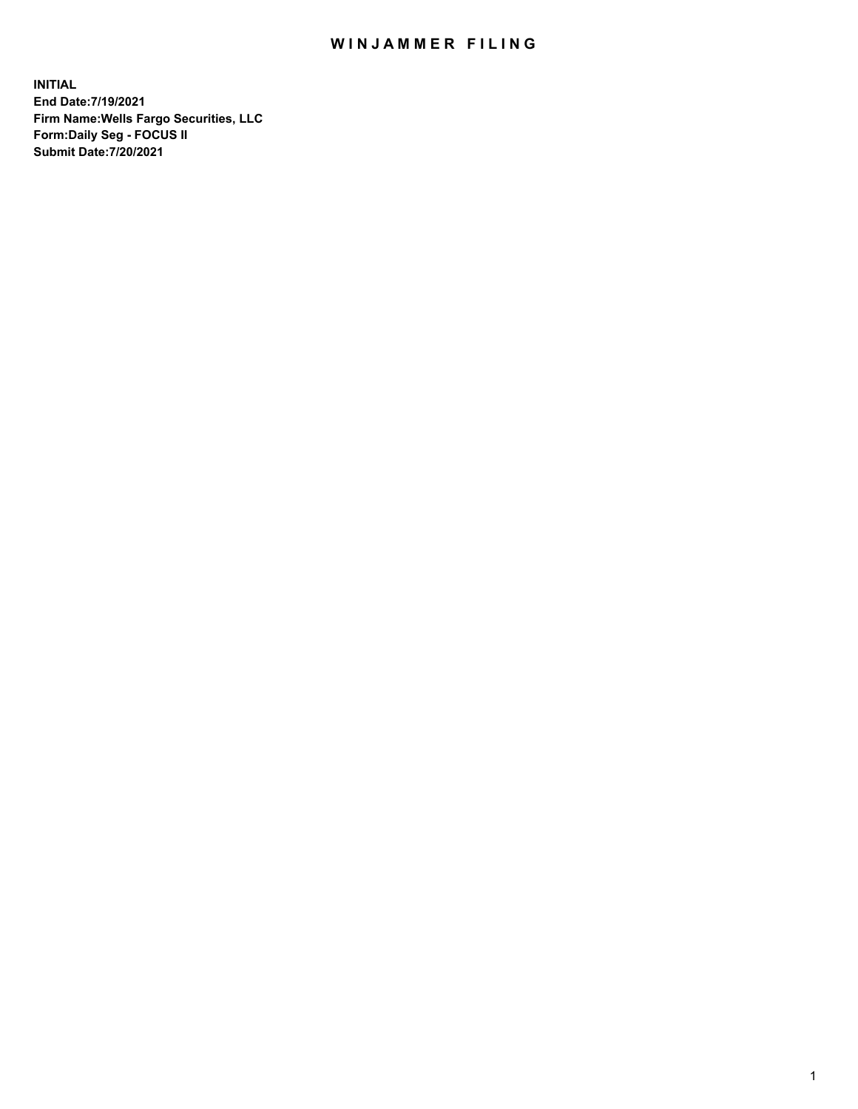## WIN JAMMER FILING

**INITIAL End Date:7/19/2021 Firm Name:Wells Fargo Securities, LLC Form:Daily Seg - FOCUS II Submit Date:7/20/2021**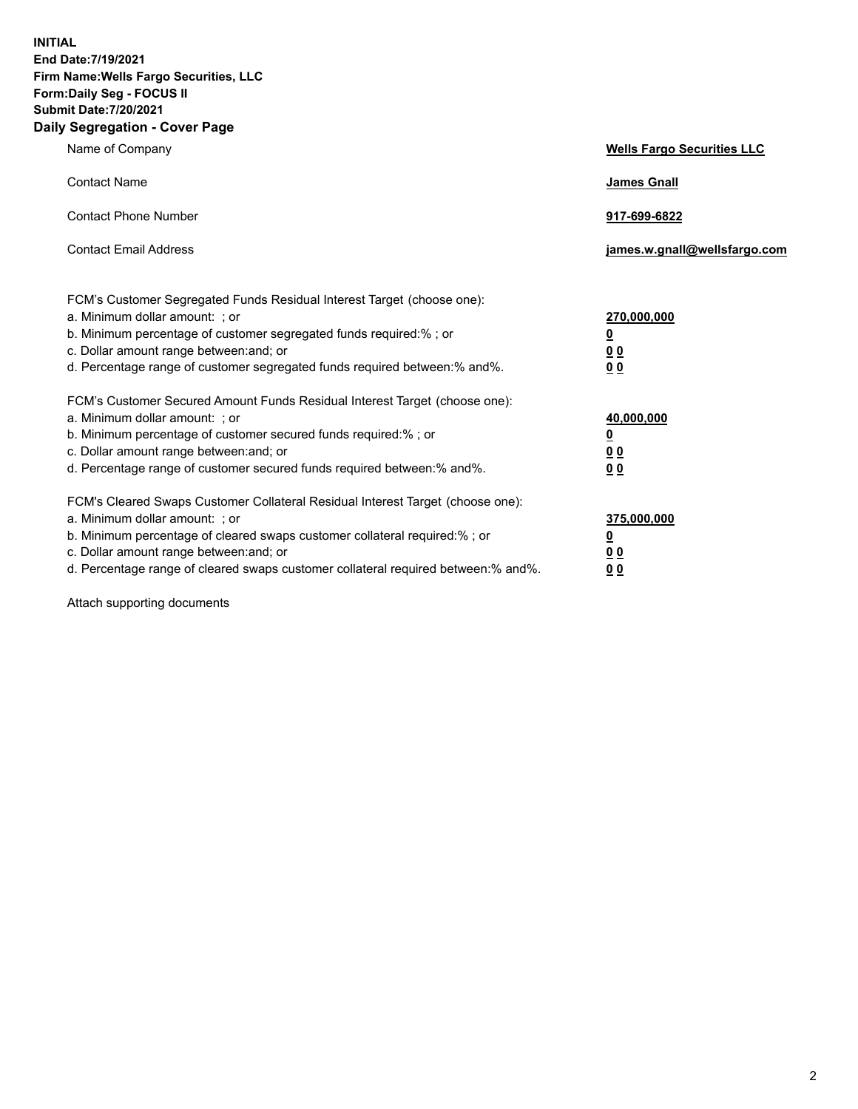**INITIAL End Date:7/19/2021 Firm Name:Wells Fargo Securities, LLC Form:Daily Seg - FOCUS II Submit Date:7/20/2021 Daily Segregation - Cover Page**

| Name of Company                                                                                                                                                                                                                                                                                                                | <b>Wells Fargo Securities LLC</b>                                         |
|--------------------------------------------------------------------------------------------------------------------------------------------------------------------------------------------------------------------------------------------------------------------------------------------------------------------------------|---------------------------------------------------------------------------|
| <b>Contact Name</b>                                                                                                                                                                                                                                                                                                            | <b>James Gnall</b>                                                        |
| <b>Contact Phone Number</b>                                                                                                                                                                                                                                                                                                    | 917-699-6822                                                              |
| <b>Contact Email Address</b>                                                                                                                                                                                                                                                                                                   | james.w.gnall@wellsfargo.com                                              |
| FCM's Customer Segregated Funds Residual Interest Target (choose one):<br>a. Minimum dollar amount: ; or<br>b. Minimum percentage of customer segregated funds required:% ; or<br>c. Dollar amount range between: and; or<br>d. Percentage range of customer segregated funds required between:% and%.                         | 270,000,000<br>$\overline{\mathbf{0}}$<br>0 <sub>0</sub><br>00            |
| FCM's Customer Secured Amount Funds Residual Interest Target (choose one):<br>a. Minimum dollar amount: ; or<br>b. Minimum percentage of customer secured funds required:%; or<br>c. Dollar amount range between: and; or<br>d. Percentage range of customer secured funds required between:% and%.                            | 40,000,000<br>$\overline{\mathbf{0}}$<br>0 <sub>0</sub><br>0 <sub>0</sub> |
| FCM's Cleared Swaps Customer Collateral Residual Interest Target (choose one):<br>a. Minimum dollar amount: ; or<br>b. Minimum percentage of cleared swaps customer collateral required:% ; or<br>c. Dollar amount range between: and; or<br>d. Percentage range of cleared swaps customer collateral required between:% and%. | 375,000,000<br><u>0</u><br>00<br>00                                       |

Attach supporting documents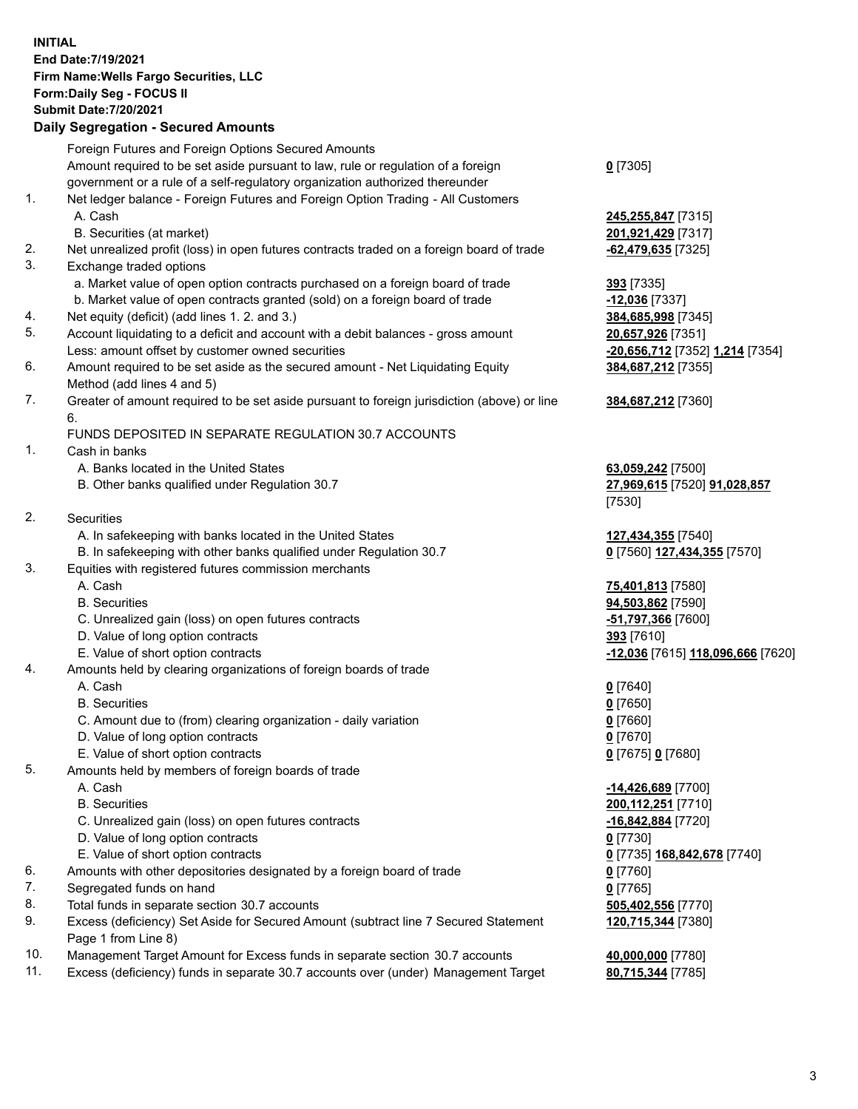**INITIAL End Date:7/19/2021 Firm Name:Wells Fargo Securities, LLC Form:Daily Seg - FOCUS II Submit Date:7/20/2021**

## **Daily Segregation - Secured Amounts**

|     | Foreign Futures and Foreign Options Secured Amounts                                         |                                   |
|-----|---------------------------------------------------------------------------------------------|-----------------------------------|
|     | Amount required to be set aside pursuant to law, rule or regulation of a foreign            | $0$ [7305]                        |
|     | government or a rule of a self-regulatory organization authorized thereunder                |                                   |
| 1.  | Net ledger balance - Foreign Futures and Foreign Option Trading - All Customers             |                                   |
|     | A. Cash                                                                                     | 245,255,847 [7315]                |
|     | B. Securities (at market)                                                                   | 201,921,429 [7317]                |
| 2.  | Net unrealized profit (loss) in open futures contracts traded on a foreign board of trade   | $-62,479,635$ [7325]              |
| 3.  | Exchange traded options                                                                     |                                   |
|     | a. Market value of open option contracts purchased on a foreign board of trade              | 393 [7335]                        |
|     | b. Market value of open contracts granted (sold) on a foreign board of trade                | $-12,036$ [7337]                  |
| 4.  | Net equity (deficit) (add lines 1. 2. and 3.)                                               | 384,685,998 [7345]                |
| 5.  | Account liquidating to a deficit and account with a debit balances - gross amount           | 20,657,926 [7351]                 |
|     | Less: amount offset by customer owned securities                                            | -20,656,712 [7352] 1,214 [7354]   |
| 6.  | Amount required to be set aside as the secured amount - Net Liquidating Equity              | 384,687,212 [7355]                |
|     | Method (add lines 4 and 5)                                                                  |                                   |
| 7.  | Greater of amount required to be set aside pursuant to foreign jurisdiction (above) or line | 384,687,212 [7360]                |
|     | 6.                                                                                          |                                   |
|     | FUNDS DEPOSITED IN SEPARATE REGULATION 30.7 ACCOUNTS                                        |                                   |
| 1.  | Cash in banks                                                                               |                                   |
|     | A. Banks located in the United States                                                       | 63,059,242 [7500]                 |
|     | B. Other banks qualified under Regulation 30.7                                              | 27,969,615 [7520] 91,028,857      |
|     |                                                                                             | [7530]                            |
| 2.  | Securities                                                                                  |                                   |
|     | A. In safekeeping with banks located in the United States                                   | 127,434,355 [7540]                |
|     | B. In safekeeping with other banks qualified under Regulation 30.7                          | 0 [7560] 127,434,355 [7570]       |
| 3.  | Equities with registered futures commission merchants                                       |                                   |
|     | A. Cash                                                                                     | 75,401,813 [7580]                 |
|     | <b>B.</b> Securities                                                                        | 94,503,862 [7590]                 |
|     | C. Unrealized gain (loss) on open futures contracts                                         | -51,797,366 [7600]                |
|     | D. Value of long option contracts                                                           | 393 [7610]                        |
|     | E. Value of short option contracts                                                          | -12,036 [7615] 118,096,666 [7620] |
| 4.  | Amounts held by clearing organizations of foreign boards of trade                           |                                   |
|     | A. Cash                                                                                     | $0$ [7640]                        |
|     | <b>B.</b> Securities                                                                        | $0$ [7650]                        |
|     | C. Amount due to (from) clearing organization - daily variation                             | $0$ [7660]                        |
|     | D. Value of long option contracts                                                           | $0$ [7670]                        |
|     | E. Value of short option contracts                                                          | 0 [7675] 0 [7680]                 |
| 5.  | Amounts held by members of foreign boards of trade                                          |                                   |
|     | A. Cash                                                                                     | -14,426,689 [7700]                |
|     | <b>B.</b> Securities                                                                        | 200, 112, 251 [7710]              |
|     | C. Unrealized gain (loss) on open futures contracts                                         | $-16,842,884$ [7720]              |
|     | D. Value of long option contracts                                                           | $0$ [7730]                        |
|     | E. Value of short option contracts                                                          | 0 [7735] 168,842,678 [7740]       |
| 6.  | Amounts with other depositories designated by a foreign board of trade                      | 0 [7760]                          |
| 7.  | Segregated funds on hand                                                                    | $0$ [7765]                        |
| 8.  | Total funds in separate section 30.7 accounts                                               | 505,402,556 [7770]                |
| 9.  | Excess (deficiency) Set Aside for Secured Amount (subtract line 7 Secured Statement         | 120,715,344 [7380]                |
|     | Page 1 from Line 8)                                                                         |                                   |
| 10. | Management Target Amount for Excess funds in separate section 30.7 accounts                 | 40,000,000 [7780]                 |

11. Excess (deficiency) funds in separate 30.7 accounts over (under) Management Target **80,715,344** [7785]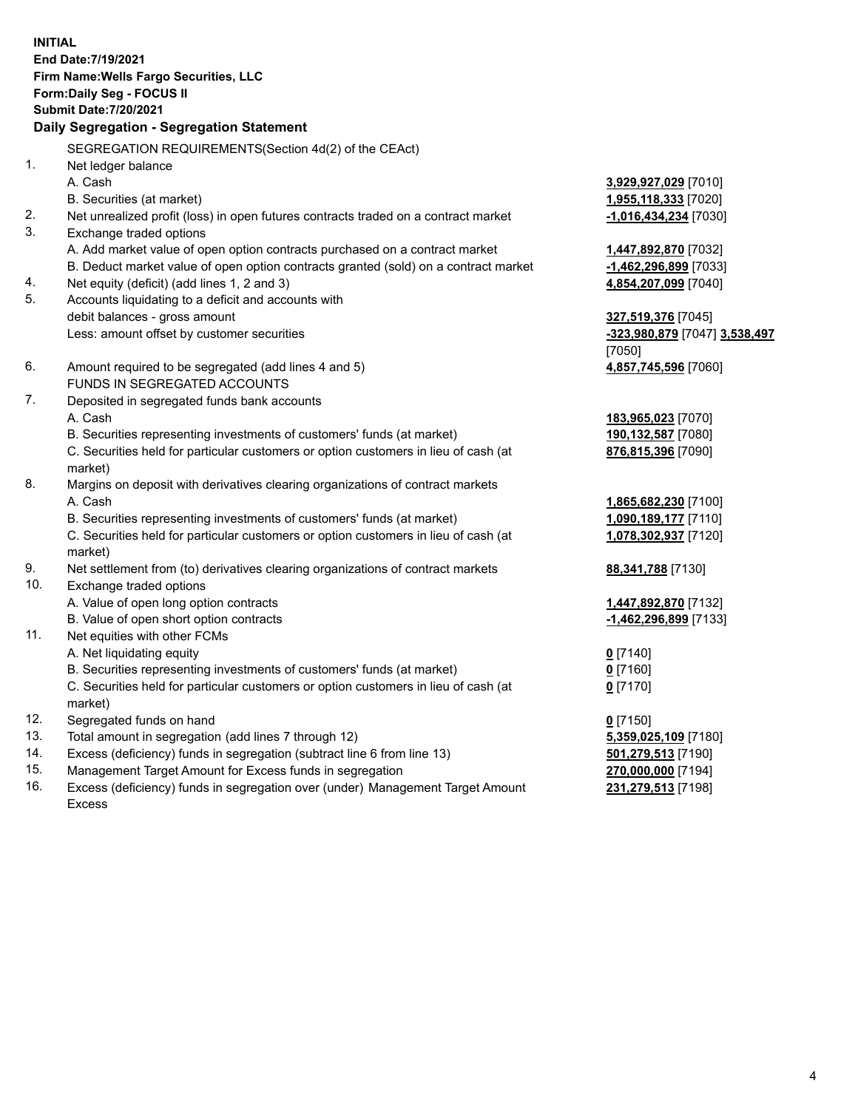**INITIAL End Date:7/19/2021 Firm Name:Wells Fargo Securities, LLC Form:Daily Seg - FOCUS II Submit Date:7/20/2021**

## **Daily Segregation - Segregation Statement**

SEGREGATION REQUIREMENTS(Section 4d(2) of the CEAct)

| 1.  | Net ledger balance                                                                  |                               |
|-----|-------------------------------------------------------------------------------------|-------------------------------|
|     | A. Cash                                                                             | 3,929,927,029 [7010]          |
|     | B. Securities (at market)                                                           | 1,955,118,333 [7020]          |
| 2.  | Net unrealized profit (loss) in open futures contracts traded on a contract market  | -1,016,434,234 [7030]         |
| 3.  | Exchange traded options                                                             |                               |
|     | A. Add market value of open option contracts purchased on a contract market         | 1,447,892,870 [7032]          |
|     | B. Deduct market value of open option contracts granted (sold) on a contract market | -1,462,296,899 [7033]         |
| 4.  | Net equity (deficit) (add lines 1, 2 and 3)                                         | 4,854,207,099 [7040]          |
| 5.  | Accounts liquidating to a deficit and accounts with                                 |                               |
|     | debit balances - gross amount                                                       | 327,519,376 [7045]            |
|     | Less: amount offset by customer securities                                          | -323,980,879 [7047] 3,538,497 |
|     |                                                                                     | [7050]                        |
| 6.  | Amount required to be segregated (add lines 4 and 5)                                | 4,857,745,596 [7060]          |
|     | FUNDS IN SEGREGATED ACCOUNTS                                                        |                               |
| 7.  | Deposited in segregated funds bank accounts                                         |                               |
|     | A. Cash                                                                             | 183,965,023 [7070]            |
|     | B. Securities representing investments of customers' funds (at market)              | 190,132,587 [7080]            |
|     | C. Securities held for particular customers or option customers in lieu of cash (at | 876,815,396 [7090]            |
|     | market)                                                                             |                               |
| 8.  | Margins on deposit with derivatives clearing organizations of contract markets      |                               |
|     | A. Cash                                                                             | 1,865,682,230 [7100]          |
|     | B. Securities representing investments of customers' funds (at market)              | 1,090,189,177 [7110]          |
|     | C. Securities held for particular customers or option customers in lieu of cash (at | 1,078,302,937 [7120]          |
|     | market)                                                                             |                               |
| 9.  | Net settlement from (to) derivatives clearing organizations of contract markets     | 88,341,788 [7130]             |
| 10. | Exchange traded options                                                             |                               |
|     | A. Value of open long option contracts                                              | 1,447,892,870 [7132]          |
|     | B. Value of open short option contracts                                             | -1,462,296,899 [7133]         |
| 11. | Net equities with other FCMs                                                        |                               |
|     | A. Net liquidating equity                                                           | $0$ [7140]                    |
|     | B. Securities representing investments of customers' funds (at market)              | $0$ [7160]                    |
|     | C. Securities held for particular customers or option customers in lieu of cash (at | $0$ [7170]                    |
|     | market)                                                                             |                               |
| 12. | Segregated funds on hand                                                            | $0$ [7150]                    |
| 13. | Total amount in segregation (add lines 7 through 12)                                | 5,359,025,109 [7180]          |
| 14. | Excess (deficiency) funds in segregation (subtract line 6 from line 13)             | 501,279,513 [7190]            |
| 15. | Management Target Amount for Excess funds in segregation                            | 270,000,000 [7194]            |
| 16. | Excess (deficiency) funds in segregation over (under) Management Target Amount      | 231,279,513 [7198]            |
|     | <b>Excess</b>                                                                       |                               |